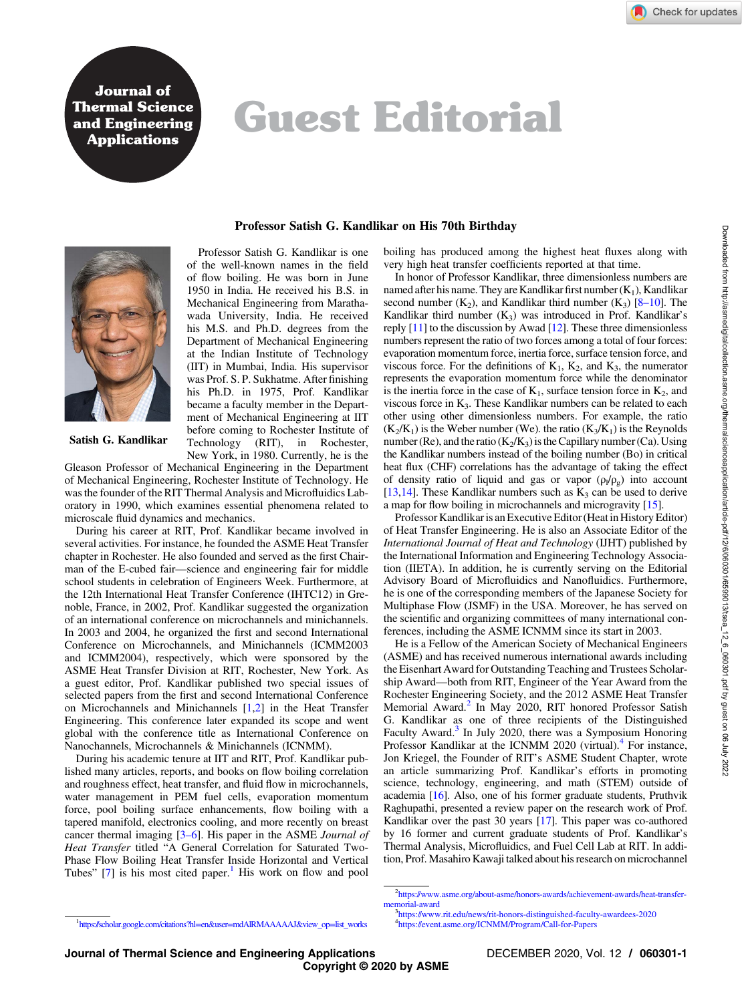Journal of Thermal Science and Engineering **Applications** 

## Guest Editorial

Professor Satish G. Kandlikar on His 70th Birthday



Satish G. Kandlikar

New York, in 1980. Currently, he is the Gleason Professor of Mechanical Engineering in the Department of Mechanical Engineering, Rochester Institute of Technology. He was the founder of the RIT Thermal Analysis and Microfluidics Laboratory in 1990, which examines essential phenomena related to microscale fluid dynamics and mechanics.

his Ph.D. in 1975, Prof. Kandlikar became a faculty member in the Department of Mechanical Engineering at IIT before coming to Rochester Institute of Technology (RIT), in Rochester,

During his career at RIT, Prof. Kandlikar became involved in several activities. For instance, he founded the ASME Heat Transfer chapter in Rochester. He also founded and served as the first Chairman of the E-cubed fair—science and engineering fair for middle school students in celebration of Engineers Week. Furthermore, at the 12th International Heat Transfer Conference (IHTC12) in Grenoble, France, in 2002, Prof. Kandlikar suggested the organization of an international conference on microchannels and minichannels. In 2003 and 2004, he organized the first and second International Conference on Microchannels, and Minichannels (ICMM2003 and ICMM2004), respectively, which were sponsored by the ASME Heat Transfer Division at RIT, Rochester, New York. As a guest editor, Prof. Kandlikar published two special issues of selected papers from the first and second International Conference on Microchannels and Minichannels [[1](#page-1-0),[2](#page-1-0)] in the Heat Transfer Engineering. This conference later expanded its scope and went global with the conference title as International Conference on Nanochannels, Microchannels & Minichannels (ICNMM).

During his academic tenure at IIT and RIT, Prof. Kandlikar published many articles, reports, and books on flow boiling correlation and roughness effect, heat transfer, and fluid flow in microchannels, water management in PEM fuel cells, evaporation momentum force, pool boiling surface enhancements, flow boiling with a tapered manifold, electronics cooling, and more recently on breast cancer thermal imaging [3–6]. His paper in the ASME Journal of Heat Transfer titled "A General Correlation for Saturated Two-Phase Flow Boiling Heat Transfer Inside Horizontal and Vertical Tubes"  $[7]$  is his most cited paper.<sup>1</sup> His work on flow and pool

boiling has produced among the highest heat fluxes along with very high heat transfer coefficients reported at that time.

In honor of Professor Kandlikar, three dimensionless numbers are named after his name. They are Kandlikar first number  $(K_1)$ , Kandlikar second number  $(K_2)$ , and Kandlikar third number  $(K_3)$  [8–10]. The Kandlikar third number  $(K_3)$  was introduced in Prof. Kandlikar's reply  $[11]$  $[11]$  $[11]$  to the discussion by Awad  $[12]$  $[12]$  $[12]$ . These three dimensionless numbers represent the ratio of two forces among a total of four forces: evaporation momentum force, inertia force, surface tension force, and viscous force. For the definitions of  $K_1$ ,  $K_2$ , and  $K_3$ , the numerator represents the evaporation momentum force while the denominator is the inertia force in the case of  $K_1$ , surface tension force in  $K_2$ , and viscous force in  $K_3$ . These Kandlikar numbers can be related to each other using other dimensionless numbers. For example, the ratio  $(K_2/K_1)$  is the Weber number (We). the ratio  $(K_3/K_1)$  is the Reynolds number (Re), and the ratio  $(K_2/K_3)$  is the Capillary number (Ca). Using the Kandlikar numbers instead of the boiling number (Bo) in critical heat flux (CHF) correlations has the advantage of taking the effect of density ratio of liquid and gas or vapor  $(\rho_1/\rho_g)$  into account [[13,14\]](#page-1-0). These Kandlikar numbers such as  $K_3$  can be used to derive a map for flow boiling in microchannels and microgravity [[15\]](#page-1-0).

Professor Kandlikar is an Executive Editor (Heat in History Editor) of Heat Transfer Engineering. He is also an Associate Editor of the International Journal of Heat and Technology (IJHT) published by the International Information and Engineering Technology Association (IIETA). In addition, he is currently serving on the Editorial Advisory Board of Microfluidics and Nanofluidics. Furthermore, he is one of the corresponding members of the Japanese Society for Multiphase Flow (JSMF) in the USA. Moreover, he has served on the scientific and organizing committees of many international conferences, including the ASME ICNMM since its start in 2003.

He is a Fellow of the American Society of Mechanical Engineers (ASME) and has received numerous international awards including the Eisenhart Award for Outstanding Teaching and Trustees Scholarship Award—both from RIT, Engineer of the Year Award from the Rochester Engineering Society, and the 2012 ASME Heat Transfer Memorial Award.<sup>2</sup> In May 2020, RIT honored Professor Satish G. Kandlikar as one of three recipients of the Distinguished Faculty Award.<sup>3</sup> In July 2020, there was a Symposium Honoring Professor Kandlikar at the ICNMM 2020 (virtual).<sup>4</sup> For instance, Jon Kriegel, the Founder of RIT's ASME Student Chapter, wrote an article summarizing Prof. Kandlikar's efforts in promoting science, technology, engineering, and math (STEM) outside of academia [[16\]](#page-1-0). Also, one of his former graduate students, Pruthvik Raghupathi, presented a review paper on the research work of Prof. Kandlikar over the past 30 years [[17](#page-1-0)]. This paper was co-authored by 16 former and current graduate students of Prof. Kandlikar's Thermal Analysis, Microfluidics, and Fuel Cell Lab at RIT. In addition, Prof. Masahiro Kawaji talked about his research on microchannel

<sup>3</sup><https://www.rit.edu/news/rit-honors-distinguished-faculty-awardees-2020> 4 <https://event.asme.org/ICNMM/Program/Call-for-Papers>

<sup>&</sup>lt;sup>2</sup>[https://www.asme.org/about-asme/honors-awards/achievement-awards/heat-transfer](https://www.asme.org/about-asme/honors-awards/achievement-awards/heat-transfer-memorial-award)[memorial-award](https://www.asme.org/about-asme/honors-awards/achievement-awards/heat-transfer-memorial-award) <sup>3</sup>

<sup>1</sup> [https://scholar.google.com/citations?hl](https://scholar.google.com/citations?hl=en&user=mdAlRMAAAAAJ&view_op=list_works)=en&user=mdAlRMAAAAAJ&view\_op=list\_works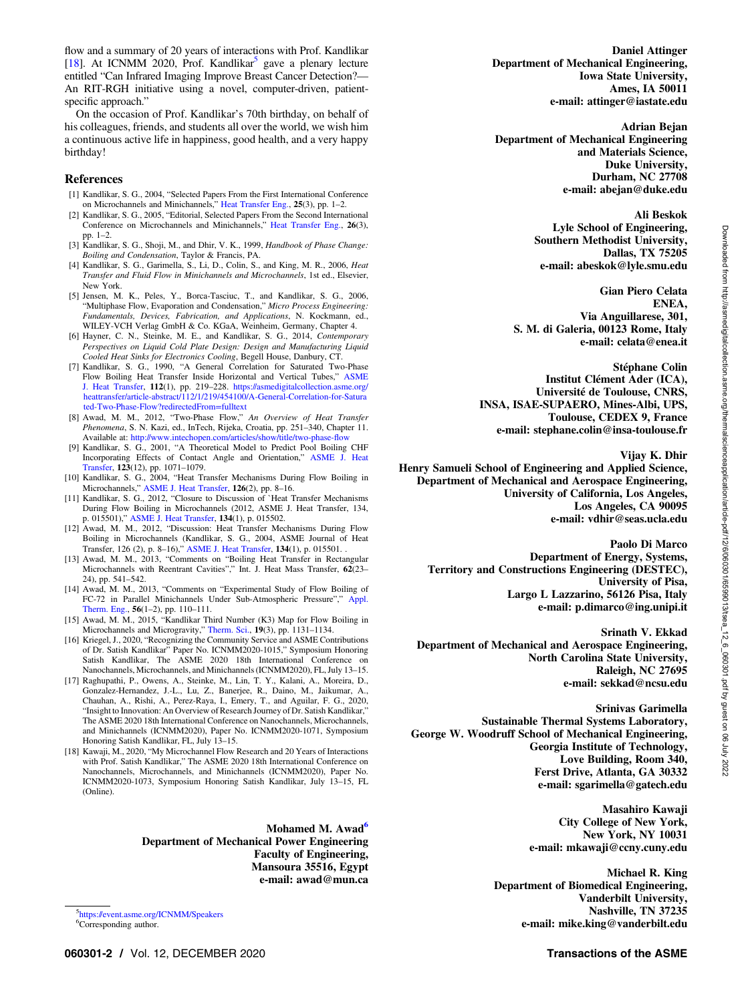<span id="page-1-0"></span>flow and a summary of 20 years of interactions with Prof. Kandlikar [18]. At ICNMM 2020, Prof. Kandlikar<sup>5</sup> gave a plenary lecture entitled "Can Infrared Imaging Improve Breast Cancer Detection?— An RIT-RGH initiative using a novel, computer-driven, patientspecific approach."

On the occasion of Prof. Kandlikar's 70th birthday, on behalf of his colleagues, friends, and students all over the world, we wish him a continuous active life in happiness, good health, and a very happy birthday!

## References

- [1] Kandlikar, S. G., 2004, "Selected Papers From the First International Conference on Microchannels and Minichannels," [Heat Transfer Eng.](http://dx.doi.org/10.1080/01457630490279968), 25(3), pp. 1–2.
- [2] Kandlikar, S. G., 2005, "Editorial, Selected Papers From the Second International Conference on Microchannels and Minichannels," [Heat Transfer Eng.](http://dx.doi.org/10.1080/01457630590907121), 26(3), pp. 1–2.
- [3] Kandlikar, S. G., Shoji, M., and Dhir, V. K., 1999, Handbook of Phase Change: Boiling and Condensation, Taylor & Francis, PA.
- [4] Kandlikar, S. G., Garimella, S., Li, D., Colin, S., and King, M. R., 2006, Heat Transfer and Fluid Flow in Minichannels and Microchannels, 1st ed., Elsevier, New York.
- [5] Jensen, M. K., Peles, Y., Borca-Tasciuc, T., and Kandlikar, S. G., 2006, "Multiphase Flow, Evaporation and Condensation," Micro Process Engineering: Fundamentals, Devices, Fabrication, and Applications, N. Kockmann, ed., WILEY-VCH Verlag GmbH & Co. KGaA, Weinheim, Germany, Chapter 4.
- [6] Hayner, C. N., Steinke, M. E., and Kandlikar, S. G., 2014, Contemporary Perspectives on Liquid Cold Plate Design: Design and Manufacturing Liquid Cooled Heat Sinks for Electronics Cooling, Begell House, Danbury, CT.
- [7] Kandlikar, S. G., 1990, "A General Correlation for Saturated Two-Phase Flow Boiling Heat Transfer Inside Horizontal and Vertical Tubes," [ASME](http://dx.doi.org/10.1115/1.2910348) [J. Heat Transfer](http://dx.doi.org/10.1115/1.2910348), 112(1), pp. 219–228. [https://asmedigitalcollection.asme.org/](https://asmedigitalcollection.asme.org/heattransfer/article-abstract/112/1/219/454100/A-General-Correlation-for-Saturated-Two-Phase-Flow?redirectedFrom=fulltext) [heattransfer/article-abstract/112/1/219/454100/A-General-Correlation-for-Satura](https://asmedigitalcollection.asme.org/heattransfer/article-abstract/112/1/219/454100/A-General-Correlation-for-Saturated-Two-Phase-Flow?redirectedFrom=fulltext) [ted-Two-Phase-Flow?redirectedFrom](https://asmedigitalcollection.asme.org/heattransfer/article-abstract/112/1/219/454100/A-General-Correlation-for-Saturated-Two-Phase-Flow?redirectedFrom=fulltext)=fulltext
- [8] Awad, M. M., 2012, "Two-Phase Flow," An Overview of Heat Transfer Phenomena, S. N. Kazi, ed., InTech, Rijeka, Croatia, pp. 251–340, Chapter 11. Available at: [http://www.intechopen.com/articles/show/title/two-phase-](http://www.intechopen.com/articles/show/title/two-phase-flow)flow
- [9] Kandlikar, S. G., 2001, "A Theoretical Model to Predict Pool Boiling CHF Incorporating Effects of Contact Angle and Orientation," [ASME J. Heat](http://dx.doi.org/10.1115/1.1409265) [Transfer,](http://dx.doi.org/10.1115/1.1409265) 123(12), pp. 1071-1079.
- [10] Kandlikar, S. G., 2004, "Heat Transfer Mechanisms During Flow Boiling in Microchannels," [ASME J. Heat Transfer,](http://dx.doi.org/10.1115/1.1643090) 126(2), pp. 8–16.
- [11] Kandlikar, S. G., 2012, "Closure to Discussion of `Heat Transfer Mechanisms During Flow Boiling in Microchannels (2012, ASME J. Heat Transfer, 134, p. 015501)," [ASME J. Heat Transfer](10.1115/1.4004771), 134(1), p. 015502.
- [12] Awad, M. M., 2012, "Discussion: Heat Transfer Mechanisms During Flow Boiling in Microchannels (Kandlikar, S. G., 2004, ASME Journal of Heat Transfer, 126 (2), p. 8–16)," [ASME J. Heat Transfer,](10.1115/1.4004769) 134(1), p. 015501. .
- [13] Awad, M. M., 2013, "Comments on "Boiling Heat Transfer in Rectangular Microchannels with Reentrant Cavities"," Int. J. Heat Mass Transfer, 62(23– 24), pp. 541–542.
- [14] Awad, M. M., 2013, "Comments on "Experimental Study of Flow Boiling of FC-72 in Parallel Minichannels Under Sub-Atmospheric Pressure"," [Appl.](http://dx.doi.org/10.1016/j.applthermaleng.2013.03.023) [Therm. Eng.,](http://dx.doi.org/10.1016/j.applthermaleng.2013.03.023) 56(1–2), pp. 110–111. [15] Awad, M. M., 2015, "Kandlikar Third Number (K3) Map for Flow Boiling in
- Microchannels and Microgravity," [Therm. Sci.](http://dx.doi.org/10.2298/TSCI150320043A), 19(3), pp. 1131–1134.
- [16] Kriegel, J., 2020, "Recognizing the Community Service and ASME Contributions of Dr. Satish Kandlikar" Paper No. ICNMM2020-1015," Symposium Honoring Satish Kandlikar, The ASME 2020 18th International Conference on Nanochannels, Microchannels, and Minichannels (ICNMM2020), FL, July 13–15.
- [17] Raghupathi, P., Owens, A., Steinke, M., Lin, T. Y., Kalani, A., Moreira, D., Gonzalez-Hernandez, J.-L., Lu, Z., Banerjee, R., Daino, M., Jaikumar, A., Chauhan, A., Rishi, A., Perez-Raya, I., Emery, T., and Aguilar, F. G., 2020, "Insight to Innovation: An Overview of Research Journey of Dr. Satish Kandlikar," The ASME 2020 18th International Conference on Nanochannels, Microchannels, and Minichannels (ICNMM2020), Paper No. ICNMM2020-1071, Symposium Honoring Satish Kandlikar, FL, July 13–15.
- [18] Kawaji, M., 2020, "My Microchannel Flow Research and 20 Years of Interactions with Prof. Satish Kandlikar," The ASME 2020 18th International Conference on Nanochannels, Microchannels, and Minichannels (ICNMM2020), Paper No. ICNMM2020-1073, Symposium Honoring Satish Kandlikar, July 13–15, FL (Online).

Mohamed M. Awad<sup>o</sup> Department of Mechanical Power Engineering Faculty of Engineering, Mansoura 35516, Egypt e-mail: [awad@mun.ca](mailto:)

5 <https://event.asme.org/ICNMM/Speakers> <sup>6</sup>Corresponding author.

Daniel Attinger Department of Mechanical Engineering, Iowa State University, Ames, IA 50011 e-mail: [attinger@iastate.edu](mailto:)

Adrian Bejan Department of Mechanical Engineering and Materials Science, Duke University, Durham, NC 27708 e-mail: [abejan@duke.edu](mailto:)

## Ali Beskok

Lyle School of Engineering, Southern Methodist University, Dallas, TX 75205 e-mail: [abeskok@lyle.smu.edu](mailto:)

Gian Piero Celata ENEA, Via Anguillarese, 301, S. M. di Galeria, 00123 Rome, Italy e-mail: [celata@enea.it](mailto:)

Stéphane Colin

Institut Clément Ader (ICA), Université de Toulouse, CNRS, INSA, ISAE-SUPAERO, Mines-Albi, UPS, Toulouse, CEDEX 9, France e-mail: [stephane.colin@insa-toulouse.fr](mailto:)

Vijay K. Dhir

Henry Samueli School of Engineering and Applied Science, Department of Mechanical and Aerospace Engineering, University of California, Los Angeles, Los Angeles, CA 90095 e-mail: [vdhir@seas.ucla.edu](mailto:)

## Paolo Di Marco

Department of Energy, Systems, Territory and Constructions Engineering (DESTEC), University of Pisa, Largo L Lazzarino, 56126 Pisa, Italy e-mail: [p.dimarco@ing.unipi.it](mailto:)

Srinath V. Ekkad

Department of Mechanical and Aerospace Engineering, North Carolina State University, Raleigh, NC 27695 e-mail: [sekkad@ncsu.edu](mailto:)

Srinivas Garimella Sustainable Thermal Systems Laboratory, George W. Woodruff School of Mechanical Engineering, Georgia Institute of Technology, Love Building, Room 340, Ferst Drive, Atlanta, GA 30332 e-mail: [sgarimella@gatech.edu](mailto:)

> Masahiro Kawaji City College of New York, New York, NY 10031 e-mail: [mkawaji@ccny.cuny.edu](mailto:)

Michael R. King Department of Biomedical Engineering, Vanderbilt University, Nashville, TN 37235 e-mail: [mike.king@vanderbilt.edu](mailto:)